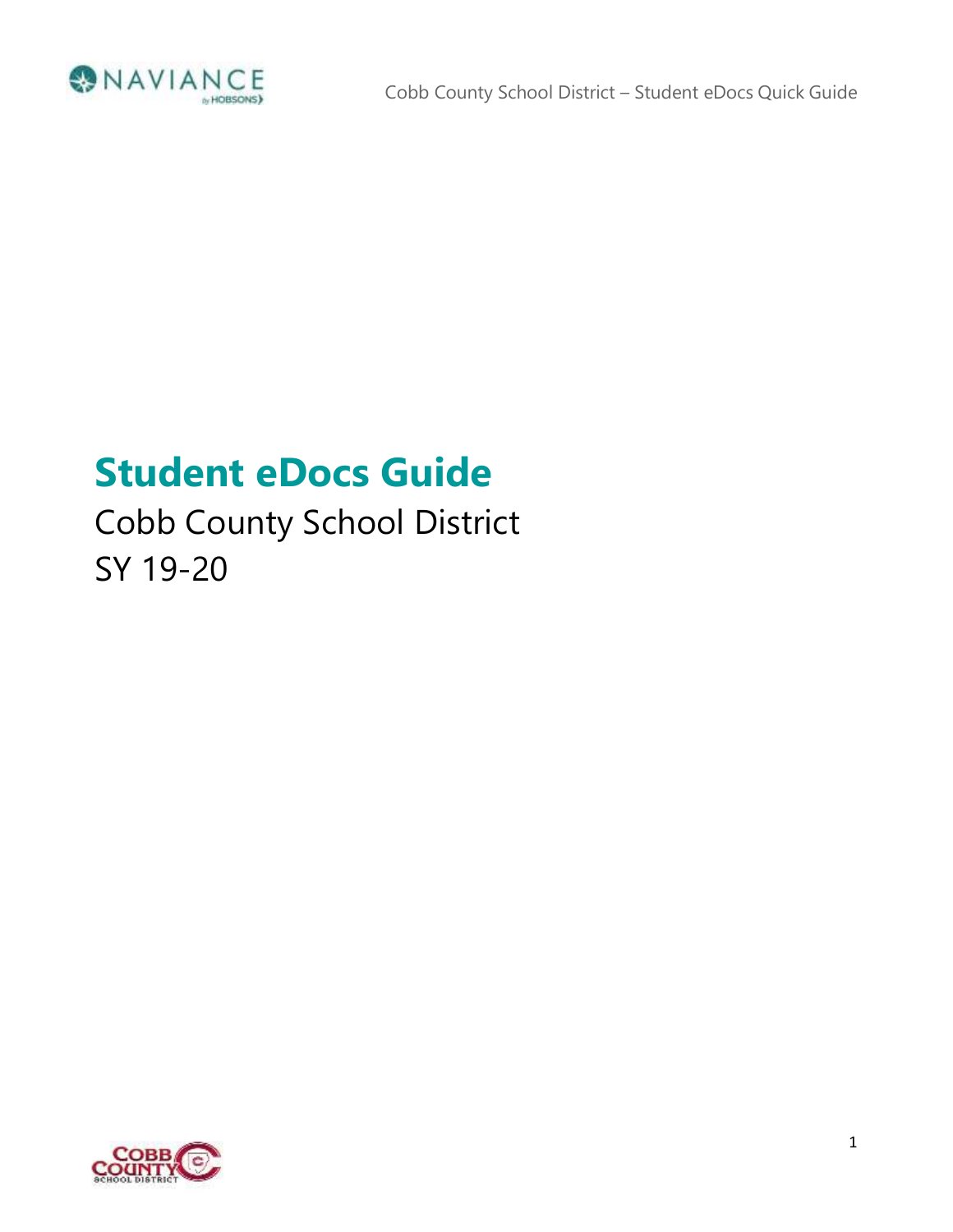

# **Student eDocs Guide**

# Cobb County School District SY 19-20

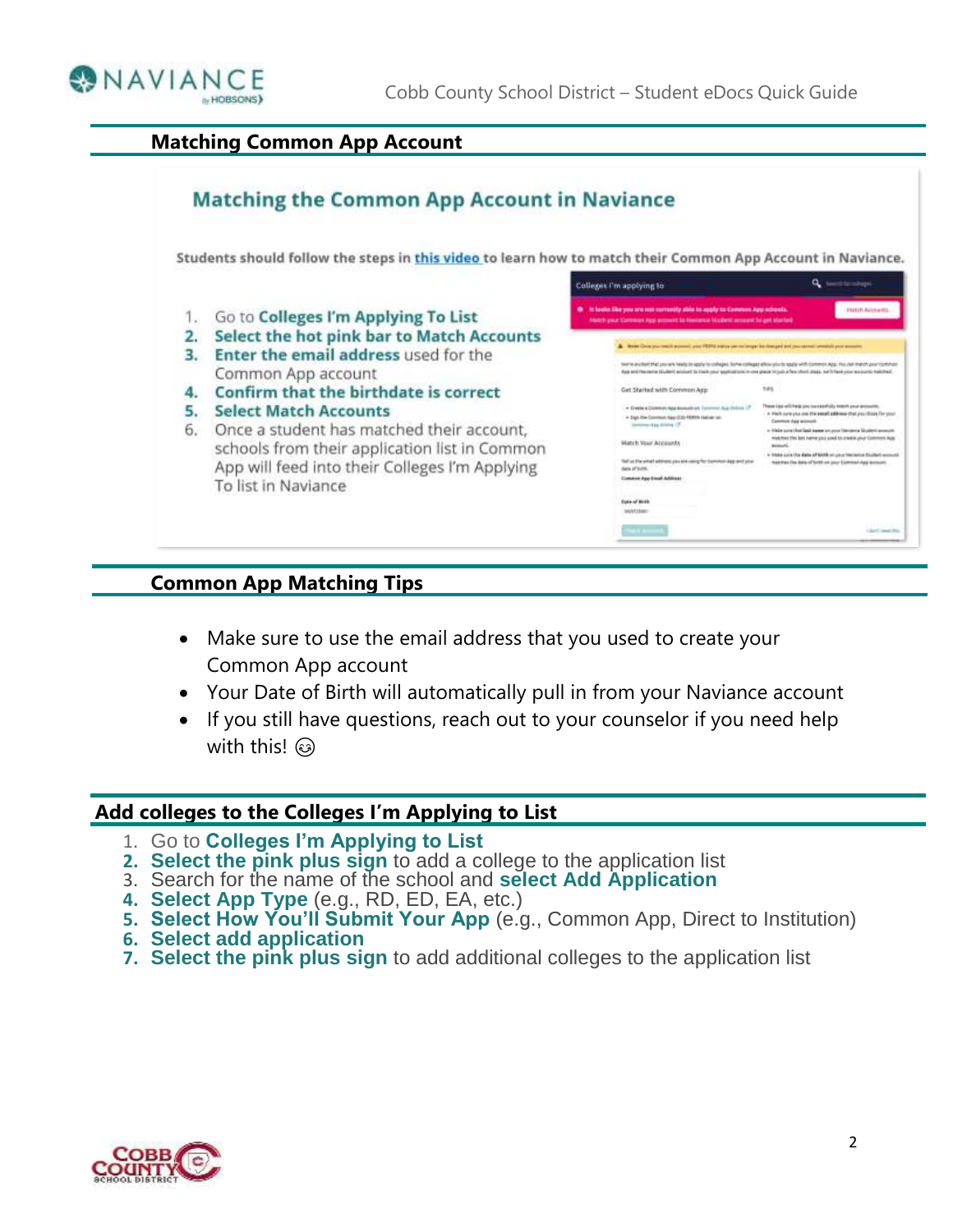

#### **Matching Common App Account**



#### **Common App Matching Tips**

- Make sure to use the email address that you used to create your Common App account
- Your Date of Birth will automatically pull in from your Naviance account
- If you still have questions, reach out to your counselor if you need help with this!  $\circledcirc$

#### **Add colleges to the Colleges I'm Applying to List**

- 1. Go to **Colleges I'm Applying to List**
- **2. Select the pink plus sign** to add a college to the application list
- 3. Search for the name of the school and **select Add Application**
- **4. Select App Type** (e.g., RD, ED, EA, etc.)
- **5. Select How You'll Submit Your App** (e.g., Common App, Direct to Institution)
- **6. Select add application**
- **7. Select the pink plus sign** to add additional colleges to the application list

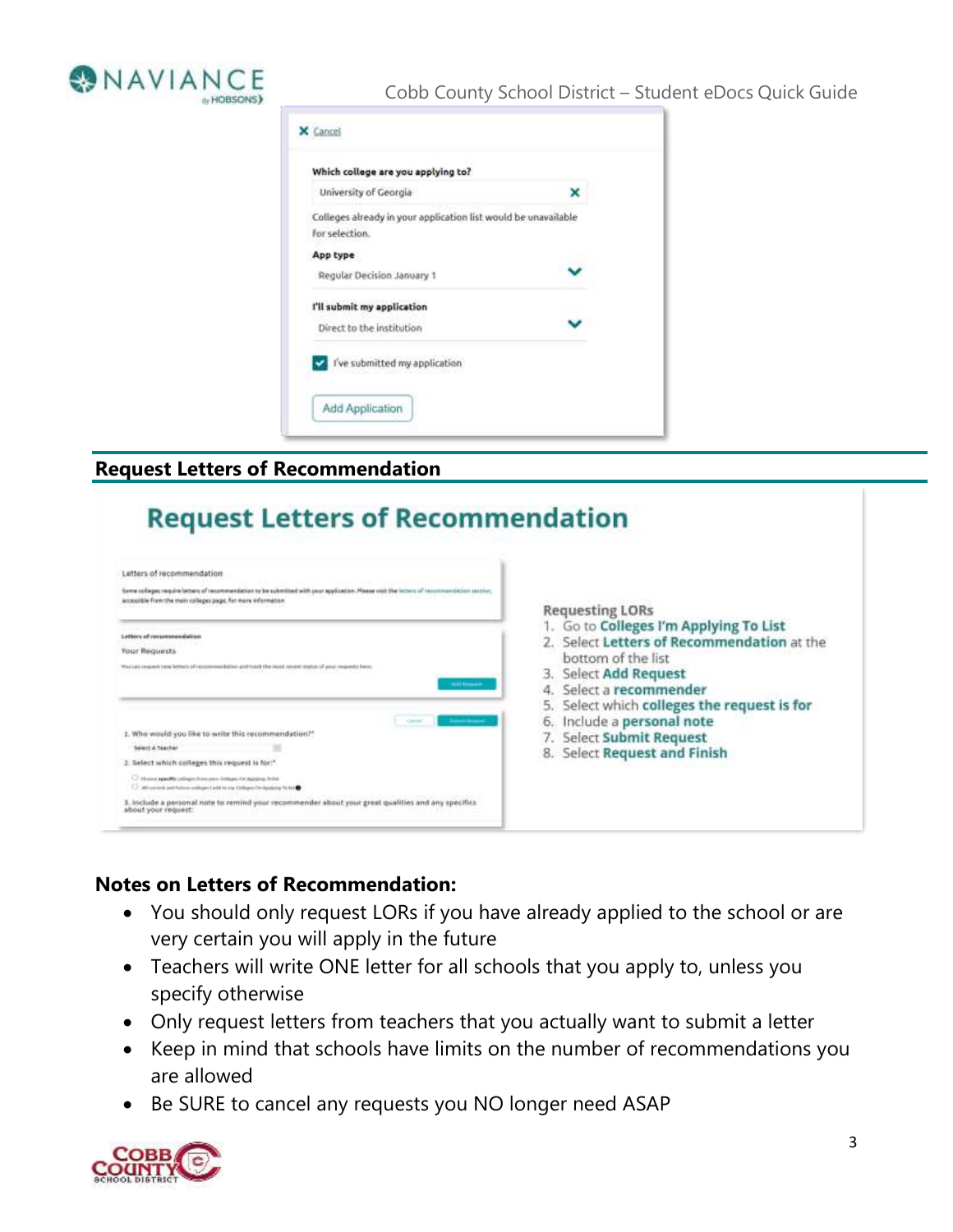

#### Cobb County School District – Student eDocs Quick Guide



# **Request Letters of Recommendation**

| Letters of recommendation                                                                                                                                                               |                                                                                                            |
|-----------------------------------------------------------------------------------------------------------------------------------------------------------------------------------------|------------------------------------------------------------------------------------------------------------|
| Same colleges require letters of recommendation to be submitted with your application. Please visit the intercult recom<br>accessible from the mem colleges page, for more information. | <b>Requesting LORs</b>                                                                                     |
| Letters of recovereedation<br><b>Your Requests</b>                                                                                                                                      | 1. Go to Colleges I'm Applying To List<br>2. Select Letters of Recommendation at the<br>bottom of the list |
| Visi Lari ce quanti rane latteri si Fressonno batiloi acol Isaak blu-ioni chatch chatch of peur imports forme<br><b>WELL-WILLIAM</b>                                                    | 3. Select Add Request<br>Select a recommender                                                              |
|                                                                                                                                                                                         | Select which colleges the request is for<br>Include a personal note                                        |
| 1. Who would you like to write this recommendation?"                                                                                                                                    | Select Submit Request<br>7.                                                                                |
| Sewell & Teacher                                                                                                                                                                        | 8. Select Request and Finish                                                                               |
| 2. Select which colleges this request is for:"                                                                                                                                          |                                                                                                            |
| 1.7 Homes again to independence to the anti-resolution for Audio to the Audio<br>1. Who priced just follow with per List to my Listinger the Applicity To but                           |                                                                                                            |
| 3. include a personal note to remind your recommender about your great qualities and any specifies<br>about your request:                                                               |                                                                                                            |

### **Notes on Letters of Recommendation:**

- You should only request LORs if you have already applied to the school or are very certain you will apply in the future
- Teachers will write ONE letter for all schools that you apply to, unless you specify otherwise
- Only request letters from teachers that you actually want to submit a letter
- Keep in mind that schools have limits on the number of recommendations you are allowed
- Be SURE to cancel any requests you NO longer need ASAP